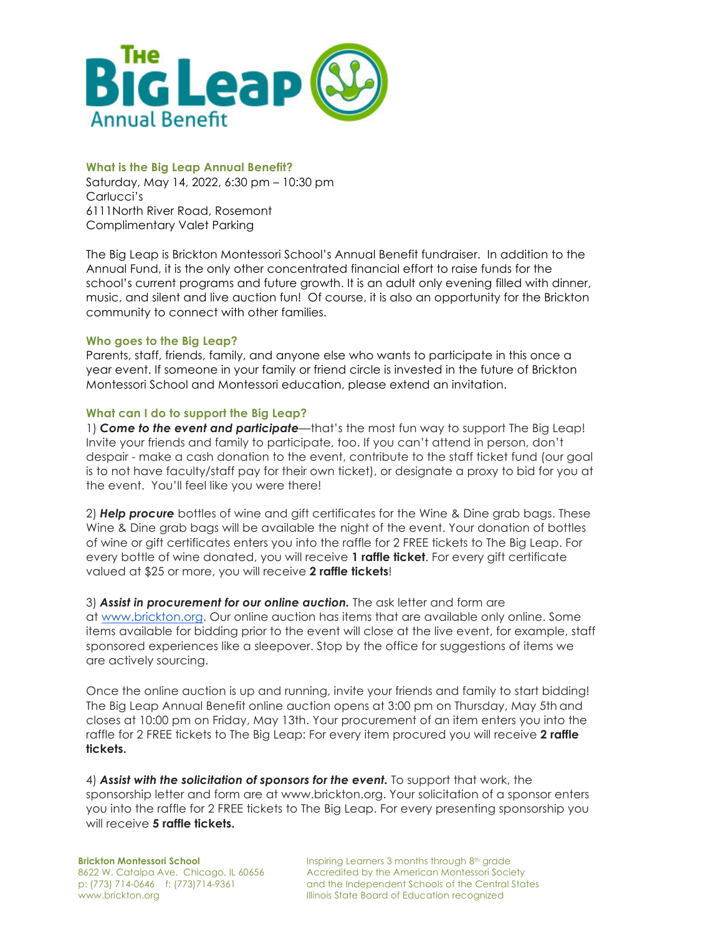

#### **What is the Big Leap Annual Benefit?**

Saturday, May 14, 2022, 6:30 pm – 10:30 pm Carlucci's 6111North River Road, Rosemont Complimentary Valet Parking

The Big Leap is Brickton Montessori School's Annual Benefit fundraiser. In addition to the Annual Fund, it is the only other concentrated financial effort to raise funds for the school's current programs and future growth. It is an adult only evening filled with dinner, music, and silent and live auction fun! Of course, it is also an opportunity for the Brickton community to connect with other families.

#### **Who goes to the Big Leap?**

Parents, staff, friends, family, and anyone else who wants to participate in this once a year event. If someone in your family or friend circle is invested in the future of Brickton Montessori School and Montessori education, please extend an invitation.

### **What can I do to support the Big Leap?**

1) *Come to the event and participate*—that's the most fun way to support The Big Leap! Invite your friends and family to participate, too. If you can't attend in person, don't despair - make a cash donation to the event, contribute to the staff ticket fund (our goal is to not have faculty/staff pay for their own ticket), or designate a proxy to bid for you at the event. You'll feel like you were there!

2) *Help procure* bottles of wine and gift certificates for the Wine & Dine grab bags. These Wine & Dine grab bags will be available the night of the event. Your donation of bottles of wine or gift certificates enters you into the raffle for 2 FREE tickets to The Big Leap. For every bottle of wine donated, you will receive **1 raffle ticket**. For every gift certificate valued at \$25 or more, you will receive **2 raffle tickets**!

3) *Assist in procurement for our online auction.* The ask letter and form are at www.brickton.org. Our online auction has items that are available only online. Some items available for bidding prior to the event will close at the live event, for example, staff sponsored experiences like a sleepover. Stop by the office for suggestions of items we are actively sourcing.

Once the online auction is up and running, invite your friends and family to start bidding! The Big Leap Annual Benefit online auction opens at 3:00 pm on Thursday, May 5th and closes at 10:00 pm on Friday, May 13th. Your procurement of an item enters you into the raffle for 2 FREE tickets to The Big Leap: For every item procured you will receive **2 raffle tickets.**

4) *Assist with the solicitation of sponsors for the event.* To support that work, the sponsorship letter and form are at www.brickton.org. Your solicitation of a sponsor enters you into the raffle for 2 FREE tickets to The Big Leap. For every presenting sponsorship you will receive **5 raffle tickets.**

**Brickton Montessori School** 8622 W. Catalpa Ave. Chicago, IL 60656 p: (773) 714-0646 f: (773)714-9361 www.brickton.org

Inspiring Learners 3 months through 8<sup>th</sup> grade Accredited by the American Montessori Society and the Independent Schools of the Central States Illinois State Board of Education recognized